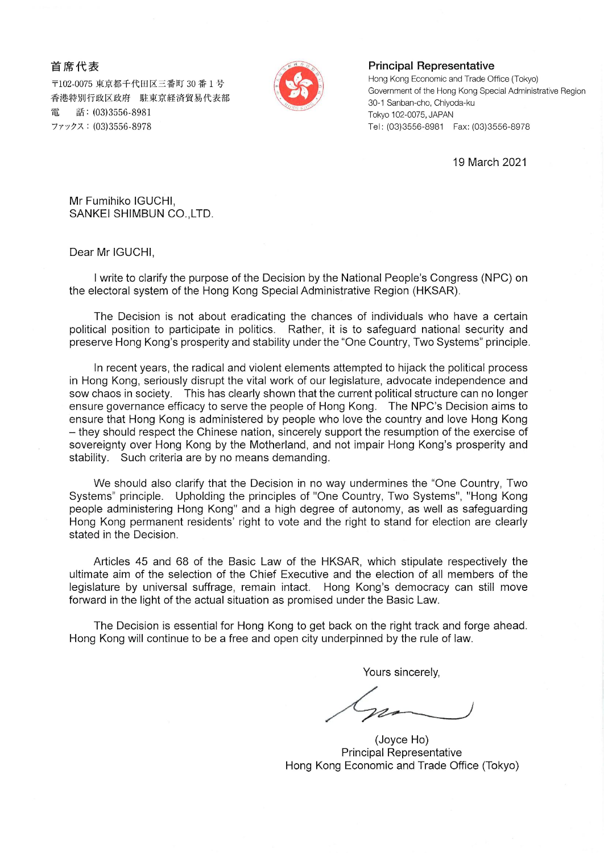## 首席代表

〒102-0075 東京都千代田区三番町 30 番 1 号 香港特別行政区政府 駐東京経済貿易代表部 話: (03)3556-8981 雷 ファックス: (03)3556-8978



## **Principal Representative**

Hong Kong Economic and Trade Office (Tokyo) Government of the Hong Kong Special Administrative Region 30-1 Sanban-cho, Chiyoda-ku Tokyo 102-0075, JAPAN Tel: (03)3556-8981 Fax: (03)3556-8978

19 March 2021

Mr Fumihiko IGUCHI, SANKEI SHIMBUN CO., LTD.

Dear Mr IGUCHI,

I write to clarify the purpose of the Decision by the National People's Congress (NPC) on the electoral system of the Hong Kong Special Administrative Region (HKSAR).

The Decision is not about eradicating the chances of individuals who have a certain political position to participate in politics. Rather, it is to safeguard national security and preserve Hong Kong's prosperity and stability under the "One Country, Two Systems" principle.

In recent years, the radical and violent elements attempted to hijack the political process in Hong Kong, seriously disrupt the vital work of our legislature, advocate independence and sow chaos in society. This has clearly shown that the current political structure can no longer ensure governance efficacy to serve the people of Hong Kong. The NPC's Decision aims to ensure that Hong Kong is administered by people who love the country and love Hong Kong - they should respect the Chinese nation, sincerely support the resumption of the exercise of sovereignty over Hong Kong by the Motherland, and not impair Hong Kong's prosperity and stability. Such criteria are by no means demanding.

We should also clarify that the Decision in no way undermines the "One Country, Two Systems" principle. Upholding the principles of "One Country, Two Systems", "Hong Kong people administering Hong Kong" and a high degree of autonomy, as well as safeguarding Hong Kong permanent residents' right to vote and the right to stand for election are clearly stated in the Decision.

Articles 45 and 68 of the Basic Law of the HKSAR, which stipulate respectively the ultimate aim of the selection of the Chief Executive and the election of all members of the legislature by universal suffrage, remain intact. Hong Kong's democracy can still move forward in the light of the actual situation as promised under the Basic Law.

The Decision is essential for Hong Kong to get back on the right track and forge ahead. Hong Kong will continue to be a free and open city underpinned by the rule of law.

Yours sincerely,

(Joyce Ho) **Principal Representative** Hong Kong Economic and Trade Office (Tokyo)